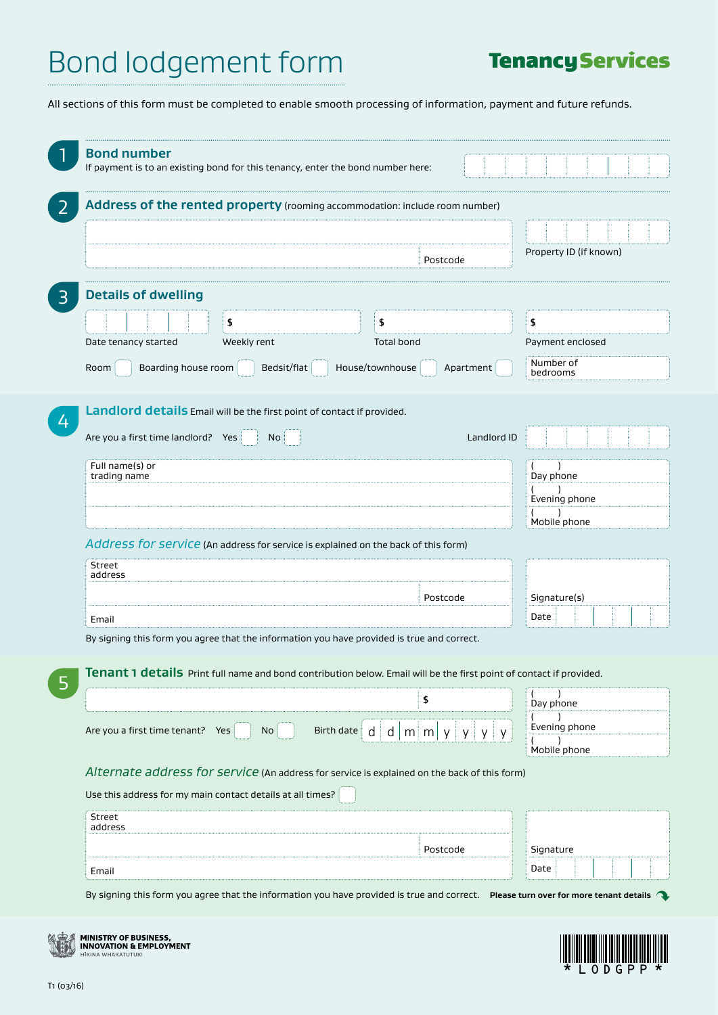## **Tenancy Services**

All sections of this form must be completed to enable smooth processing of information, payment and future refunds.

| Address of the rented property (rooming accommodation: include room number)                                                                  |                                      |                        |
|----------------------------------------------------------------------------------------------------------------------------------------------|--------------------------------------|------------------------|
|                                                                                                                                              |                                      |                        |
|                                                                                                                                              | Postcode                             | Property ID (if known) |
| <b>Details of dwelling</b>                                                                                                                   |                                      |                        |
| \$                                                                                                                                           | \$                                   | \$                     |
| Weekly rent<br>Date tenancy started                                                                                                          | <b>Total bond</b>                    | Payment enclosed       |
| Bedsit/flat<br>Room<br>Boarding house room                                                                                                   | House/townhouse<br>Apartment         | Number of<br>bedrooms  |
|                                                                                                                                              |                                      |                        |
| Landlord details Email will be the first point of contact if provided.                                                                       |                                      |                        |
| Are you a first time landlord? Yes<br>No                                                                                                     | Landlord ID                          |                        |
| Full name(s) or<br>trading name                                                                                                              |                                      | Day phone              |
|                                                                                                                                              |                                      | Evening phone          |
|                                                                                                                                              |                                      |                        |
| Address for service (An address for service is explained on the back of this form)                                                           |                                      | Mobile phone           |
| Street                                                                                                                                       |                                      |                        |
| address                                                                                                                                      |                                      |                        |
|                                                                                                                                              | Postcode                             | Signature(s)           |
| Email                                                                                                                                        |                                      | Date                   |
| By signing this form you agree that the information you have provided is true and correct.                                                   |                                      |                        |
| Tenant 1 details Print full name and bond contribution below. Email will be the first point of contact if provided.                          |                                      |                        |
|                                                                                                                                              | \$                                   | Day phone              |
| Are you a first time tenant? Yes<br>No<br>Birth date   d   d                                                                                 | $m \mid m \mid y \mid$<br>y i<br>y y | Evening phone          |
|                                                                                                                                              |                                      | Mobile phone           |
| Alternate address for service (An address for service is explained on the back of this form)                                                 |                                      |                        |
| Use this address for my main contact details at all times?                                                                                   |                                      |                        |
| Street                                                                                                                                       |                                      |                        |
| address                                                                                                                                      |                                      |                        |
|                                                                                                                                              | Postcode                             | Signature<br>Date      |
|                                                                                                                                              |                                      |                        |
| Email<br>By signing this form you agree that the information you have provided is true and correct. Please turn over for more tenant details |                                      |                        |